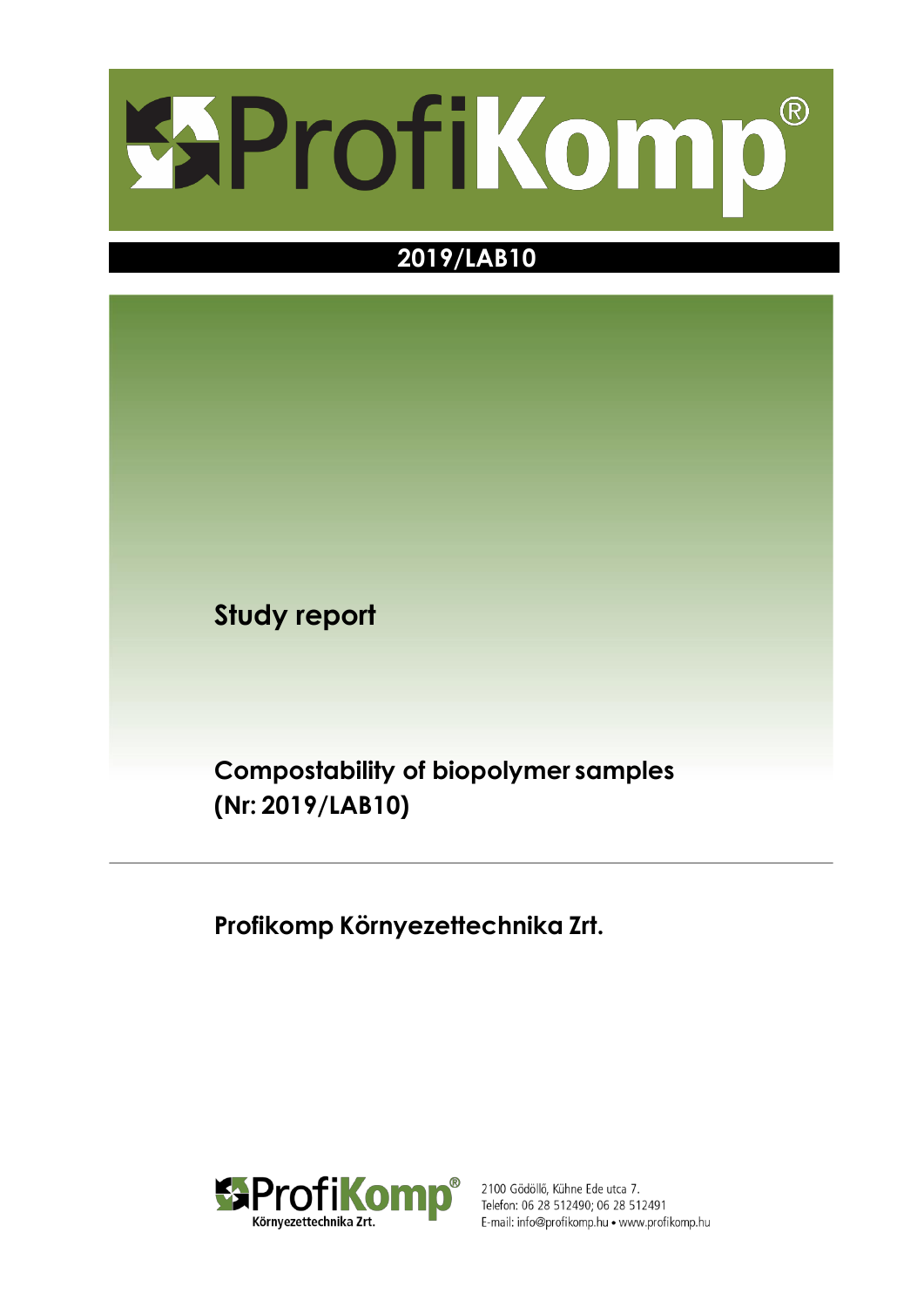

# **2019/LAB10**

**Study report**

**Compostability of biopolymer samples (Nr: 2019/LAB10)**

**Profikomp Környezettechnika Zrt.**



2100 Gödöllő, Kühne Ede utca 7. Telefon: 06 28 512490; 06 28 512491 E-mail: info@profikomp.hu · www.profikomp.hu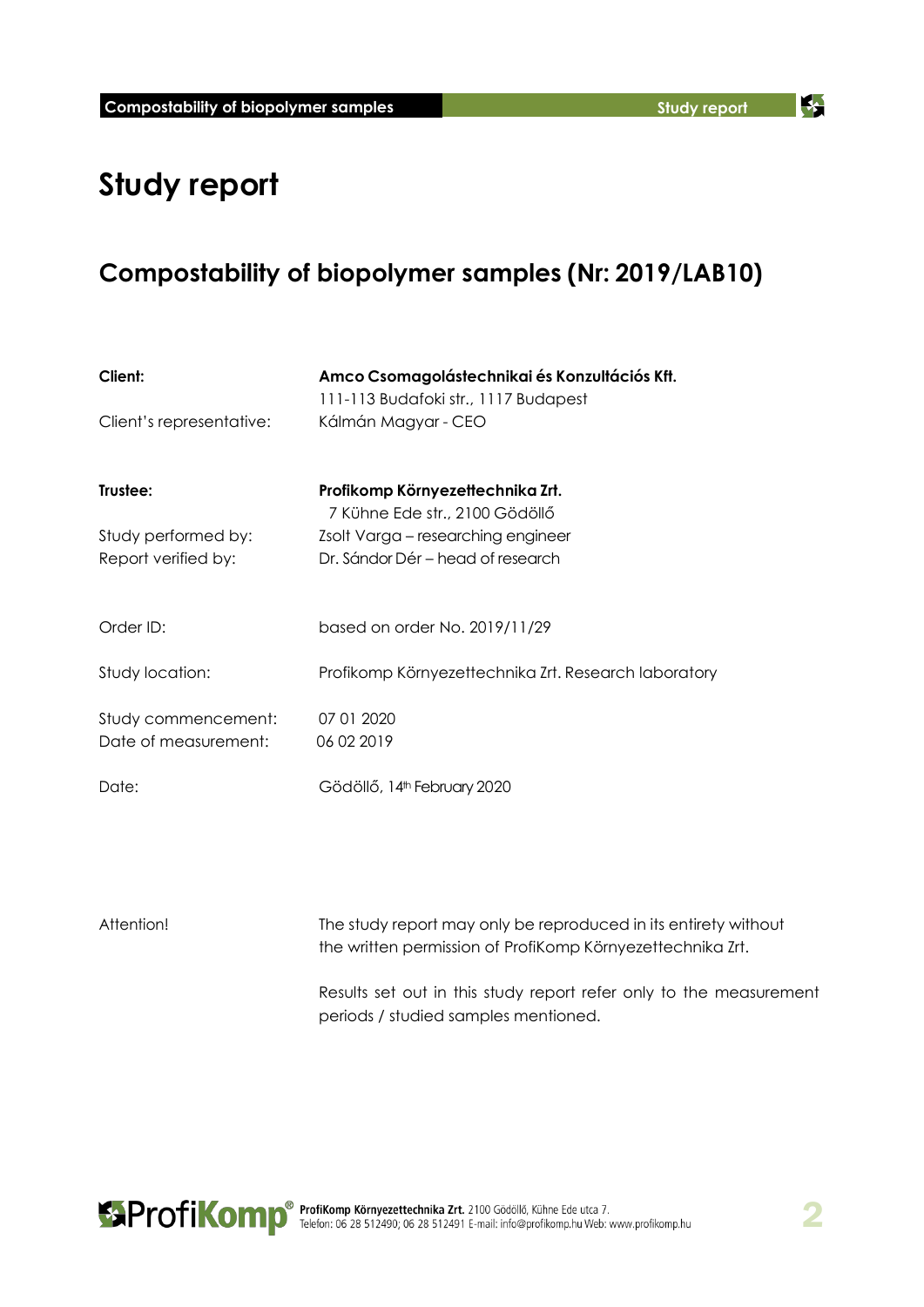K

# **Study report**

# **Compostability of biopolymer samples (Nr: 2019/LAB10)**

| Client:                  | Amco Csomagolástechnikai és Konzultációs Kft.                      |  |  |  |
|--------------------------|--------------------------------------------------------------------|--|--|--|
|                          | 111-113 Budafoki str., 1117 Budapest                               |  |  |  |
| Client's representative: | Kálmán Magyar - CEO                                                |  |  |  |
| Trustee:                 | Profikomp Környezettechnika Zrt.<br>7 Kühne Ede str., 2100 Gödöllő |  |  |  |
| Study performed by:      | Zsolt Varga – researching engineer                                 |  |  |  |
| Report verified by:      | Dr. Sándor Dér – head of research                                  |  |  |  |
| Order ID:                | based on order No. 2019/11/29                                      |  |  |  |
| Study location:          | Profikomp Környezettechnika Zrt. Research laboratory               |  |  |  |
| Study commencement:      | 07 01 2020                                                         |  |  |  |
| Date of measurement:     | 06 02 2019                                                         |  |  |  |
| Date:                    | Gödöllő, 14 <sup>th</sup> February 2020                            |  |  |  |

| Attention! | The study report may only be reproduced in its entirety without    |
|------------|--------------------------------------------------------------------|
|            | the written permission of ProfiKomp Környezettechnika Zrt.         |
|            | Results set out in this study report refer only to the measurement |
|            | periods / studied samples mentioned.                               |

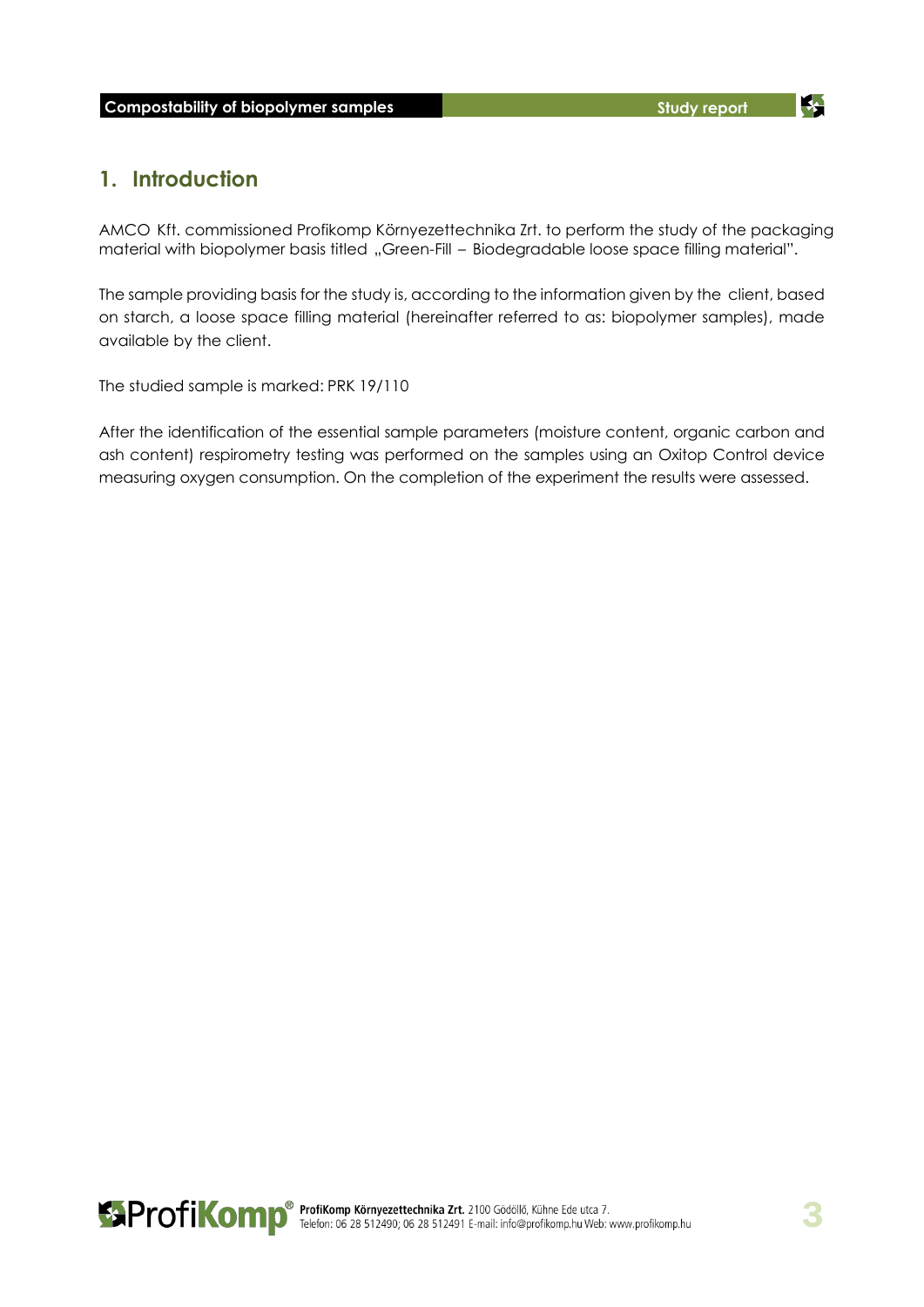34

## **1. Introduction**

AMCO Kft. commissioned Profikomp Környezettechnika Zrt. to perform the study of the packaging material with biopolymer basis titled "Green-Fill - Biodegradable loose space filling material".

The sample providing basis for the study is, according to the information given by the client, based on starch, a loose space filling material (hereinafter referred to as: biopolymer samples), made available by the client.

The studied sample is marked: PRK 19/110

After the identification of the essential sample parameters (moisture content, organic carbon and ash content) respirometry testing was performed on the samples using an Oxitop Control device measuring oxygen consumption. On the completion of the experiment the results were assessed.

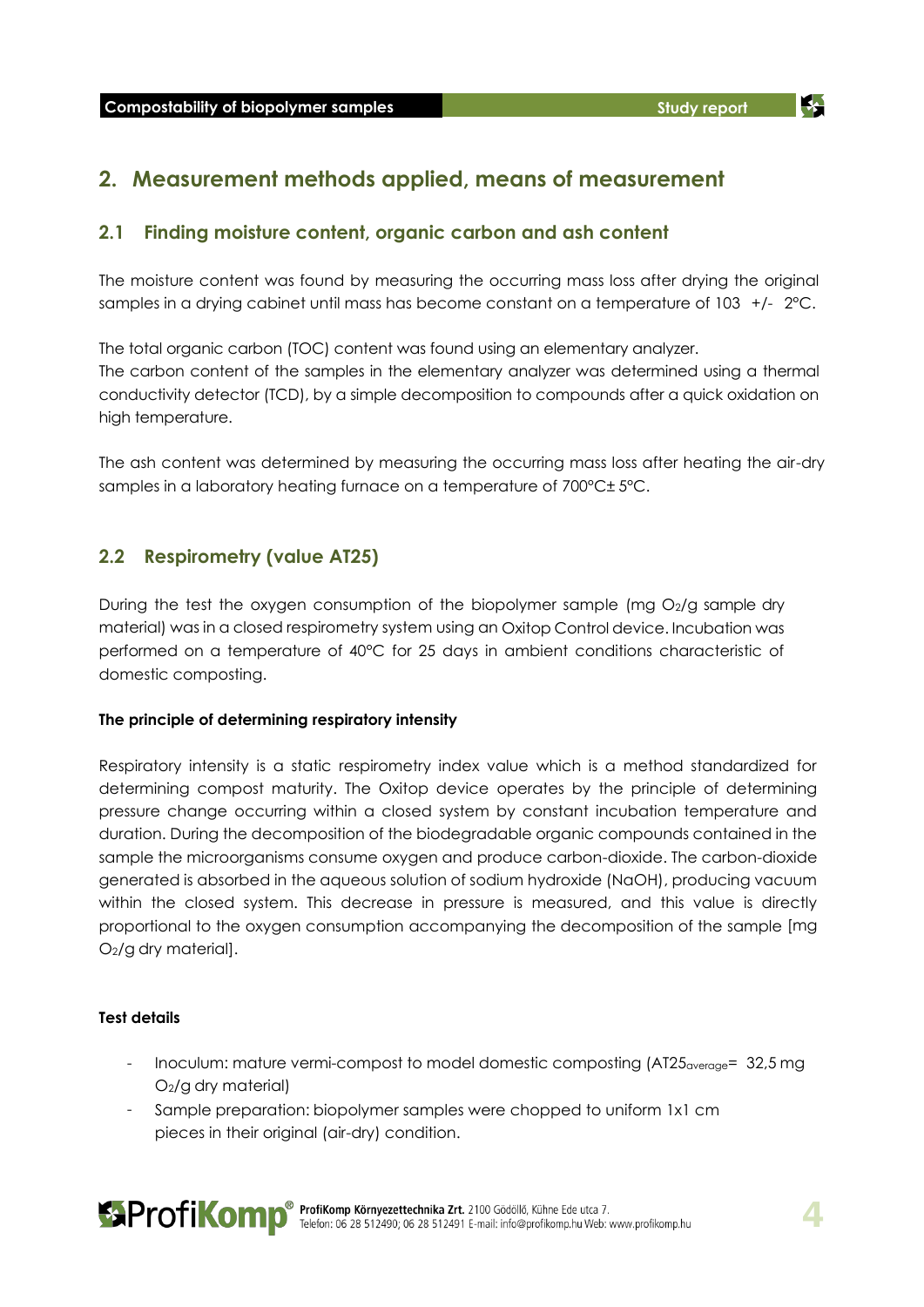## **2. Measurement methods applied, means of measurement**

### **2.1 Finding moisture content, organic carbon and ash content**

The moisture content was found by measuring the occurring mass loss after drying the original samples in a drying cabinet until mass has become constant on a temperature of 103 +/- 2°C.

The total organic carbon (TOC) content was found using an elementary analyzer. The carbon content of the samples in the elementary analyzer was determined using a thermal conductivity detector (TCD), by a simple decomposition to compounds after a quick oxidation on high temperature.

The ash content was determined by measuring the occurring mass loss after heating the air-dry samples in a laboratory heating furnace on a temperature of 700°C± 5°C.

### **2.2 Respirometry (value AT25)**

During the test the oxygen consumption of the biopolymer sample (mg O2/g sample dry material) was in a closed respirometry system using an Oxitop Control device. Incubation was performed on a temperature of 40°C for 25 days in ambient conditions characteristic of domestic composting.

### **The principle of determining respiratory intensity**

Respiratory intensity is a static respirometry index value which is a method standardized for determining compost maturity. The Oxitop device operates by the principle of determining pressure change occurring within a closed system by constant incubation temperature and duration. During the decomposition of the biodegradable organic compounds contained in the sample the microorganisms consume oxygen and produce carbon-dioxide. The carbon-dioxide generated is absorbed in the aqueous solution of sodium hydroxide (NaOH), producing vacuum within the closed system. This decrease in pressure is measured, and this value is directly proportional to the oxygen consumption accompanying the decomposition of the sample [mg O2/g dry material].

### **Test details**

- Inoculum: mature vermi-compost to model domestic composting (AT25average= 32,5 mg O2/g dry material)
- Sample preparation: biopolymer samples were chopped to uniform 1x1 cm pieces in their original (air-dry) condition.

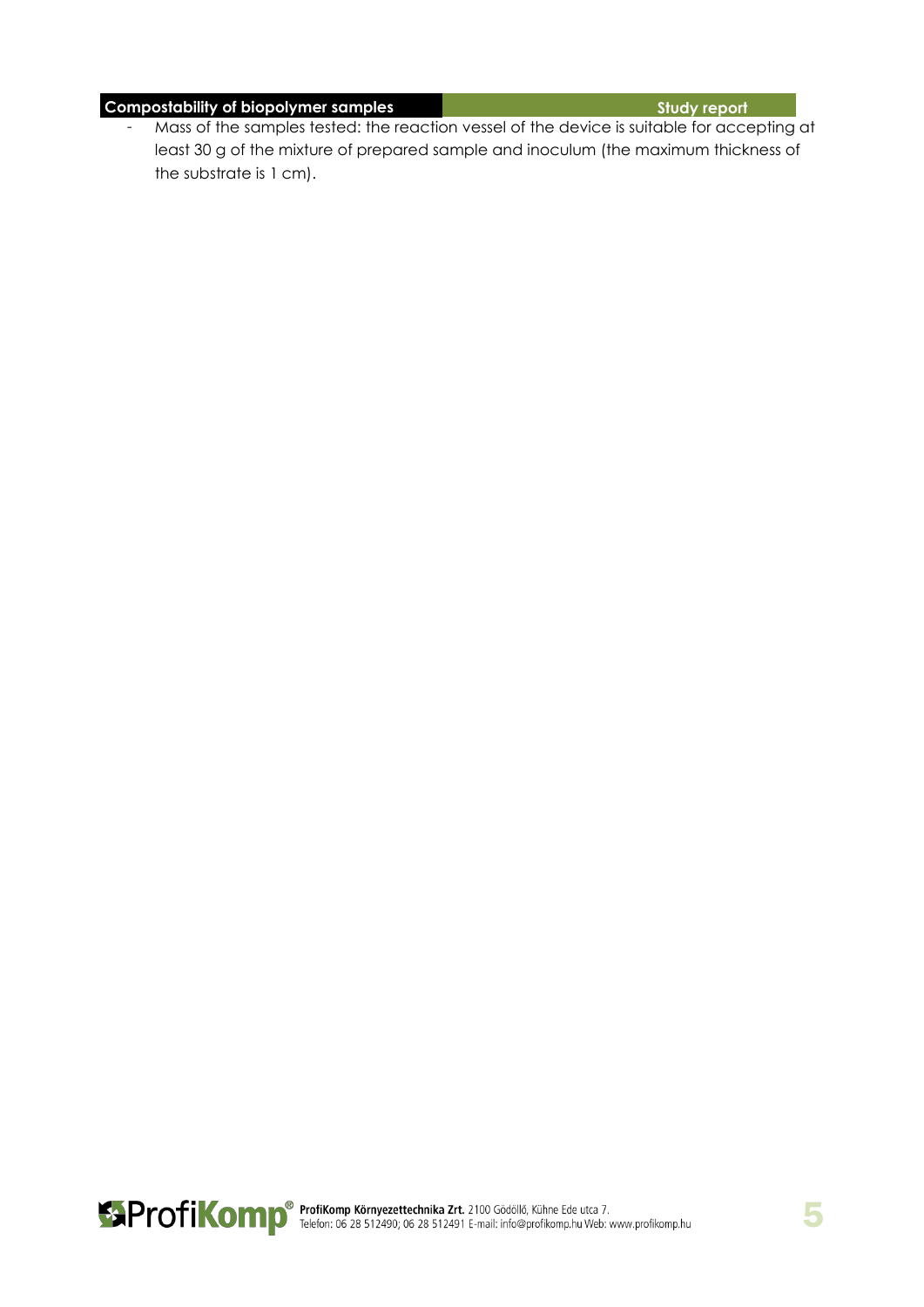## **Compostability of biopolymer samples Study report Study report**

- Mass of the samples tested: the reaction vessel of the device is suitable for accepting at least 30 g of the mixture of prepared sample and inoculum (the maximum thickness of the substrate is 1 cm).

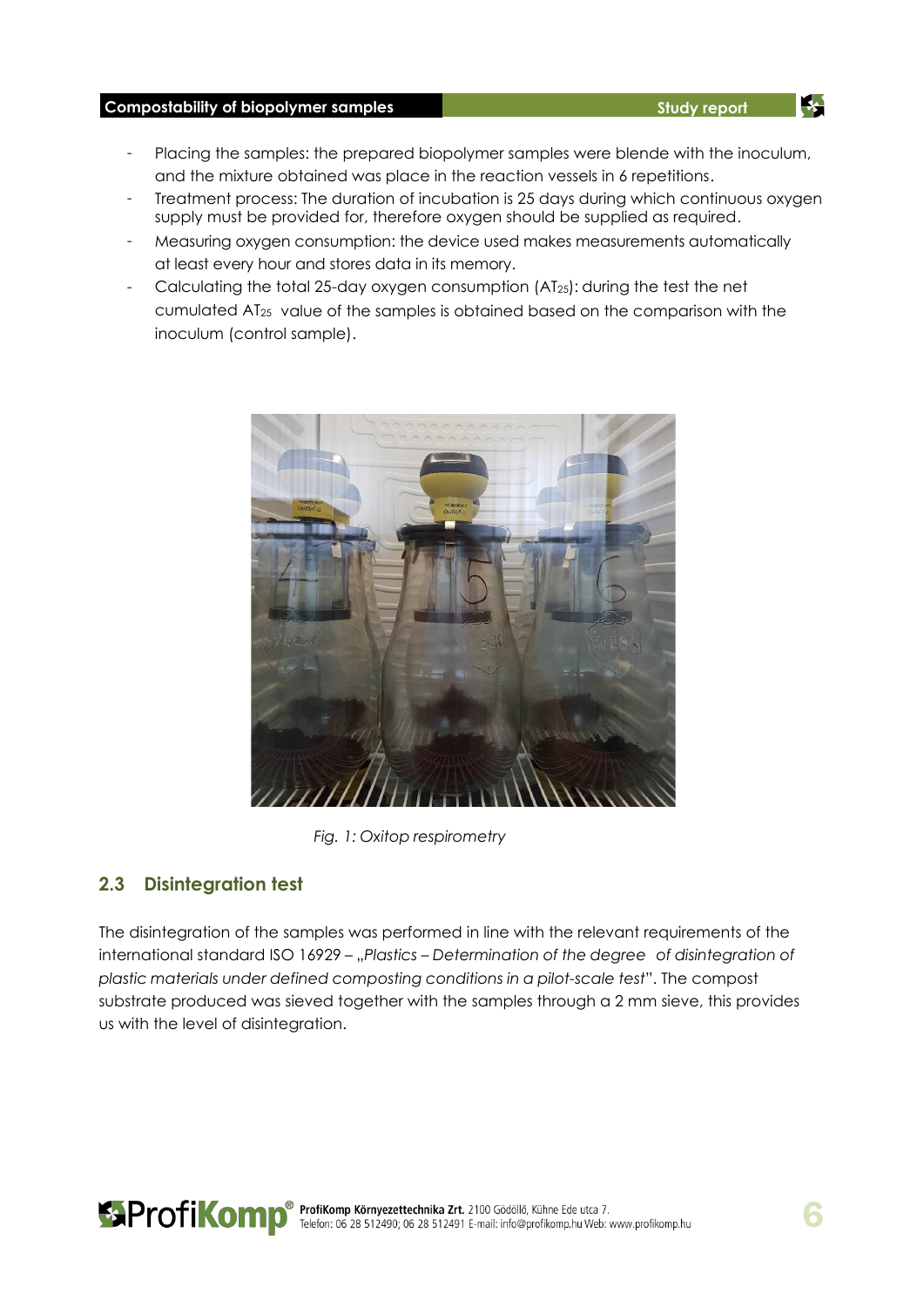### **Compostability of biopolymer samples Study report Study report Study report**

- Placing the samples: the prepared biopolymer samples were blende with the inoculum, and the mixture obtained was place in the reaction vessels in 6 repetitions.
- Treatment process: The duration of incubation is 25 days during which continuous oxygen supply must be provided for, therefore oxygen should be supplied as required.
- Measuring oxygen consumption: the device used makes measurements automatically at least every hour and stores data in its memory.
- Calculating the total 25-day oxygen consumption (AT25): during the test the net cumulated AT<sup>25</sup> value of the samples is obtained based on the comparison with the inoculum (control sample).



*Fig. 1: Oxitop respirometry*

### **2.3 Disintegration test**

The disintegration of the samples was performed in line with the relevant requirements of the international standard ISO 16929 - "Plastics - Determination of the degree of disintegration of *plastic materials under defined composting conditions in a pilot-scale test*". The compost substrate produced was sieved together with the samples through a 2 mm sieve, this provides us with the level of disintegration.



34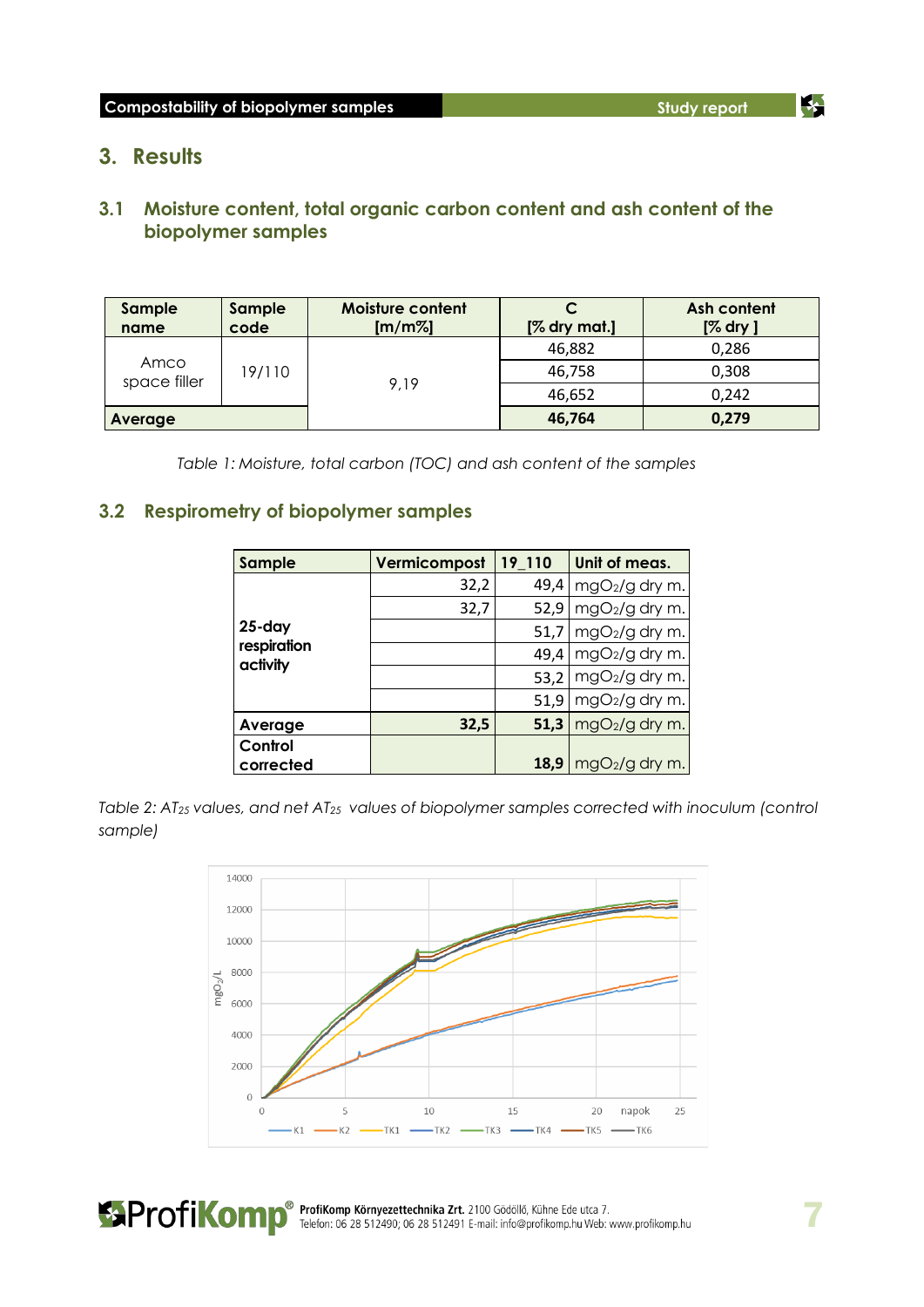35

### **3. Results**

### **3.1 Moisture content, total organic carbon content and ash content of the biopolymer samples**

| Sample<br>name       | Sample<br>code | Moisture content<br>[m/m%] | $[%$ dry mat.] | Ash content<br>$[%$ dry $]$ |
|----------------------|----------------|----------------------------|----------------|-----------------------------|
| Amco<br>space filler | 19/110         | 9.19                       | 46,882         | 0,286                       |
|                      |                |                            | 46,758         | 0,308                       |
|                      |                |                            | 46,652         | 0,242                       |
| Average              |                |                            | 46,764         | 0,279                       |

*Table 1: Moisture, total carbon (TOC) and ash content of the samples*

### **3.2 Respirometry of biopolymer samples**

| Sample                                | Vermicompost | 19 110 | Unit of meas.   |
|---------------------------------------|--------------|--------|-----------------|
| $25 - day$<br>respiration<br>activity | 32,2         | 49,4   | mgO2/g dry m.   |
|                                       | 32,7         | 52,9   | mgO2/g dry m.   |
|                                       |              | 51,7   | mgO2/g dry m.   |
|                                       |              | 49,4   | mgO2/g dry m.   |
|                                       |              | 53,2   | mgO2/g dry m.   |
|                                       |              | 51,9   | mgO2/g dry m.   |
| Average                               | 32,5         | 51,3   | mgO2/g dry m.   |
| Control                               |              |        |                 |
| corrected                             |              | 18,9   | $mgO2/g$ dry m. |

*Table 2: AT<sup>25</sup> values, and net AT<sup>25</sup> values of biopolymer samples corrected with inoculum (control sample)*



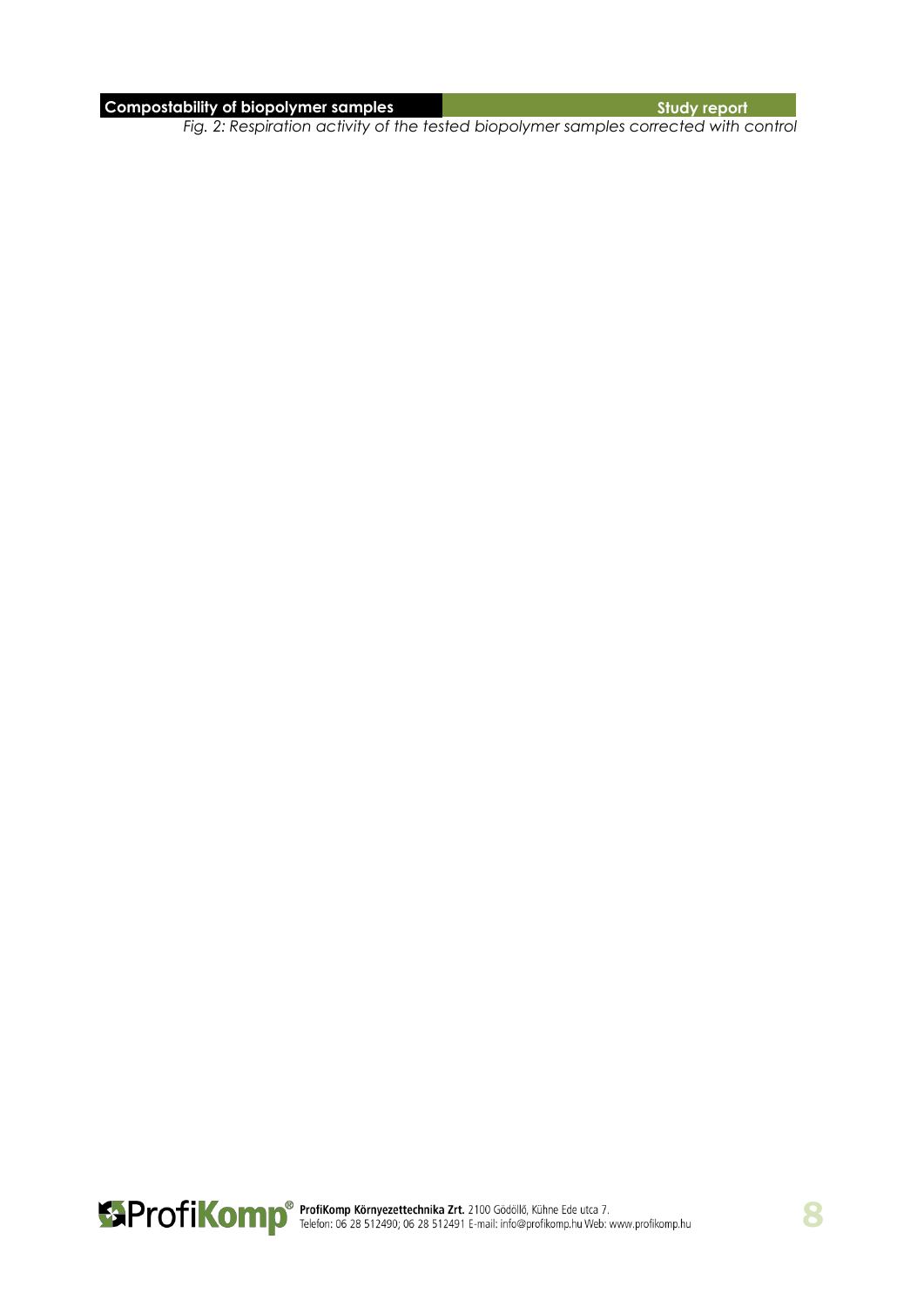### **Compostability of biopolymer samples**  $\blacksquare$  $\blacksquare$  $\blacksquare$  $\blacksquare$  $\blacksquare$  $\blacksquare$  $\blacksquare$  $\blacksquare$  $\blacksquare$  $\blacksquare$  $\blacksquare$  $\blacksquare$  $\blacksquare$  $\blacksquare$  $\blacksquare$  $\blacksquare$  $\blacksquare$  $\blacksquare$  $\blacksquare$  $\blacksquare$  $\blacksquare$  $\blacksquare$  $\blacksquare$  $\blacksquare$  $\blacksquare$  $\blacksquare$  **\**

*Fig. 2: Respiration activity of the tested biopolymer samples corrected with control*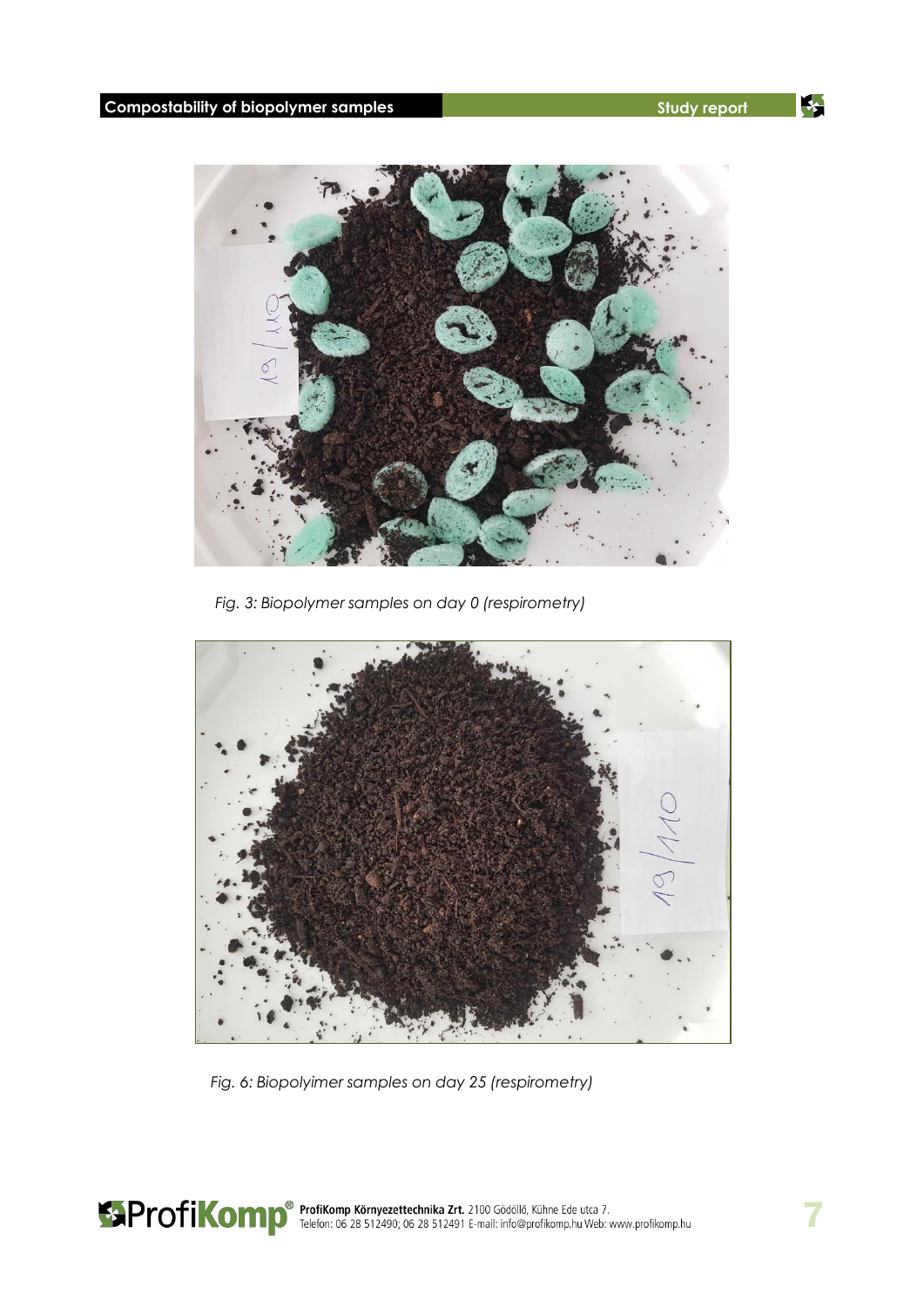4



*Fig. 3: Biopolymer samples on day 0 (respirometry)*



*Fig. 6: Biopolyimer samples on day 25 (respirometry)*